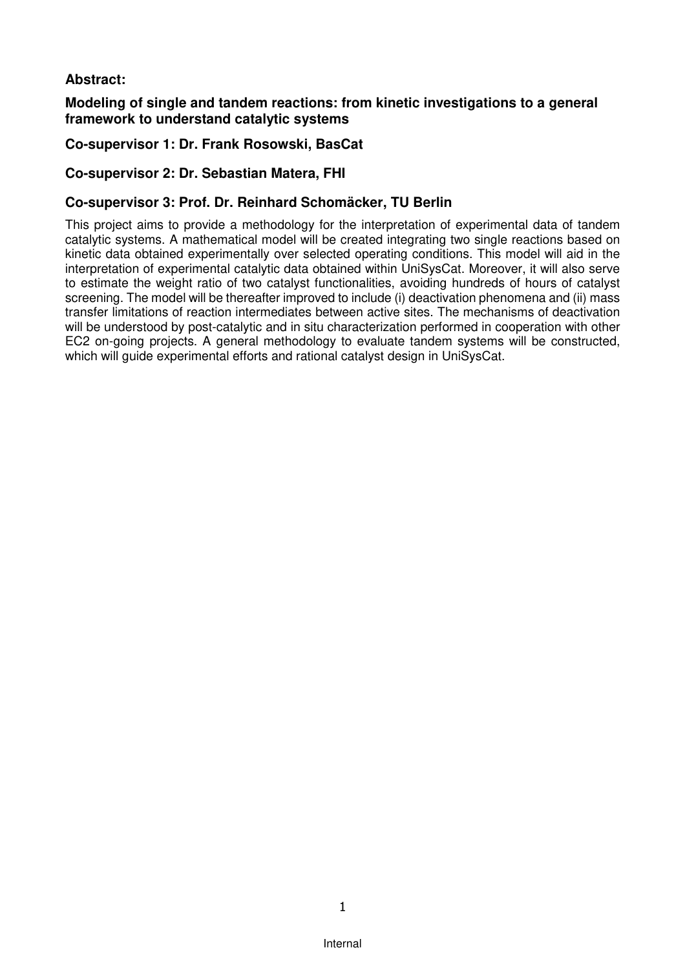# **Abstract:**

### **Modeling of single and tandem reactions: from kinetic investigations to a general framework to understand catalytic systems**

# **Co-supervisor 1: Dr. Frank Rosowski, BasCat**

# **Co-supervisor 2: Dr. Sebastian Matera, FHI**

## **Co-supervisor 3: Prof. Dr. Reinhard Schomäcker, TU Berlin**

This project aims to provide a methodology for the interpretation of experimental data of tandem catalytic systems. A mathematical model will be created integrating two single reactions based on kinetic data obtained experimentally over selected operating conditions. This model will aid in the interpretation of experimental catalytic data obtained within UniSysCat. Moreover, it will also serve to estimate the weight ratio of two catalyst functionalities, avoiding hundreds of hours of catalyst screening. The model will be thereafter improved to include (i) deactivation phenomena and (ii) mass transfer limitations of reaction intermediates between active sites. The mechanisms of deactivation will be understood by post-catalytic and in situ characterization performed in cooperation with other EC2 on-going projects. A general methodology to evaluate tandem systems will be constructed, which will guide experimental efforts and rational catalyst design in UniSysCat.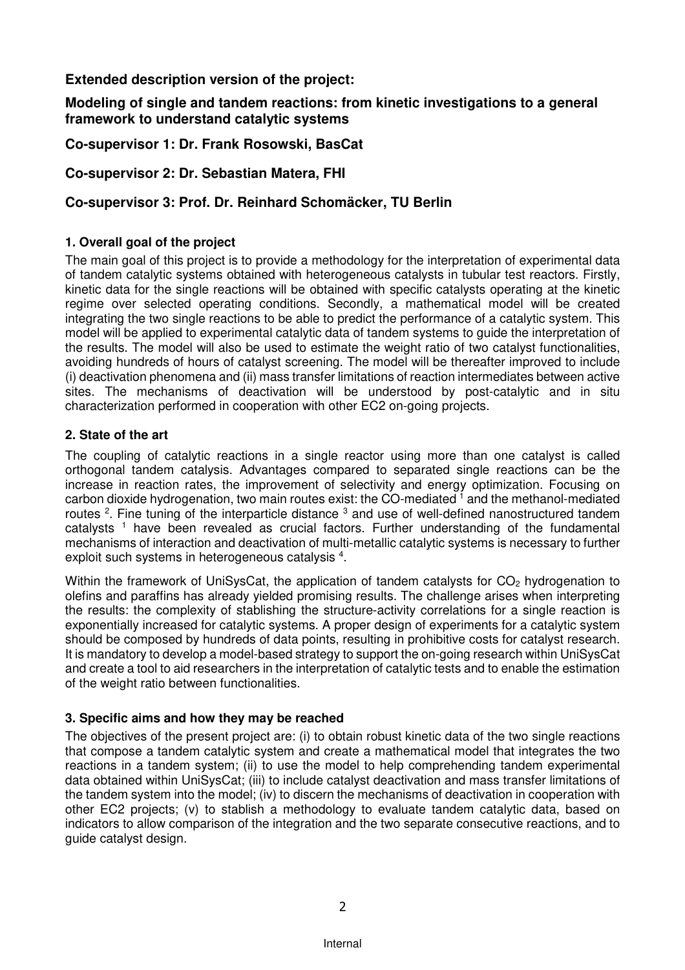# **Extended description version of the project:**

## **Modeling of single and tandem reactions: from kinetic investigations to a general framework to understand catalytic systems**

**Co-supervisor 1: Dr. Frank Rosowski, BasCat** 

**Co-supervisor 2: Dr. Sebastian Matera, FHI** 

# **Co-supervisor 3: Prof. Dr. Reinhard Schomäcker, TU Berlin**

# **1. Overall goal of the project**

The main goal of this project is to provide a methodology for the interpretation of experimental data of tandem catalytic systems obtained with heterogeneous catalysts in tubular test reactors. Firstly, kinetic data for the single reactions will be obtained with specific catalysts operating at the kinetic regime over selected operating conditions. Secondly, a mathematical model will be created integrating the two single reactions to be able to predict the performance of a catalytic system. This model will be applied to experimental catalytic data of tandem systems to guide the interpretation of the results. The model will also be used to estimate the weight ratio of two catalyst functionalities, avoiding hundreds of hours of catalyst screening. The model will be thereafter improved to include (i) deactivation phenomena and (ii) mass transfer limitations of reaction intermediates between active sites. The mechanisms of deactivation will be understood by post-catalytic and in situ characterization performed in cooperation with other EC2 on-going projects.

## **2. State of the art**

The coupling of catalytic reactions in a single reactor using more than one catalyst is called orthogonal tandem catalysis. Advantages compared to separated single reactions can be the increase in reaction rates, the improvement of selectivity and energy optimization. Focusing on carbon dioxide hydrogenation, two main routes exist: the CO-mediated  $^1$  and the methanol-mediated routes <sup>2</sup>. Fine tuning of the interparticle distance  $3$  and use of well-defined nanostructured tandem catalysts<sup>1</sup> have been revealed as crucial factors. Further understanding of the fundamental mechanisms of interaction and deactivation of multi-metallic catalytic systems is necessary to further exploit such systems in heterogeneous catalysis <sup>4</sup>.

Within the framework of UniSysCat, the application of tandem catalysts for  $CO<sub>2</sub>$  hydrogenation to olefins and paraffins has already yielded promising results. The challenge arises when interpreting the results: the complexity of stablishing the structure-activity correlations for a single reaction is exponentially increased for catalytic systems. A proper design of experiments for a catalytic system should be composed by hundreds of data points, resulting in prohibitive costs for catalyst research. It is mandatory to develop a model-based strategy to support the on-going research within UniSysCat and create a tool to aid researchers in the interpretation of catalytic tests and to enable the estimation of the weight ratio between functionalities.

### **3. Specific aims and how they may be reached**

The objectives of the present project are: (i) to obtain robust kinetic data of the two single reactions that compose a tandem catalytic system and create a mathematical model that integrates the two reactions in a tandem system; (ii) to use the model to help comprehending tandem experimental data obtained within UniSysCat; (iii) to include catalyst deactivation and mass transfer limitations of the tandem system into the model; (iv) to discern the mechanisms of deactivation in cooperation with other EC2 projects; (v) to stablish a methodology to evaluate tandem catalytic data, based on indicators to allow comparison of the integration and the two separate consecutive reactions, and to guide catalyst design.